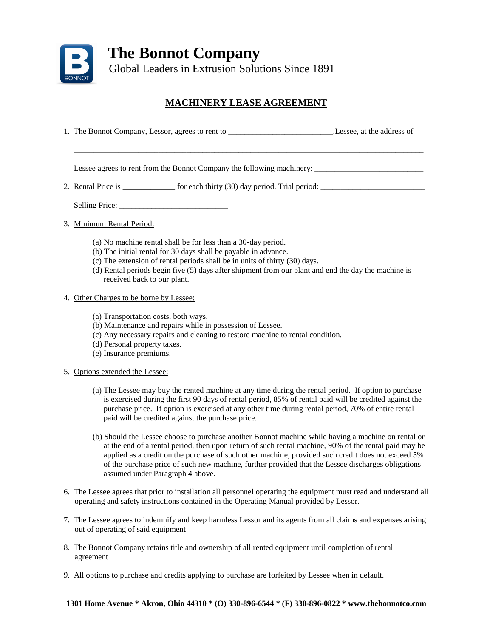

## **MACHINERY LEASE AGREEMENT**

1. The Bonnot Company, Lessor, agrees to rent to \_\_\_\_\_\_\_\_\_\_\_\_\_\_\_\_\_\_\_\_\_\_\_\_\_\_\_\_\_\_\_\_,Lessee, at the address of

 $\mathcal{L}_\text{max}$  , and the set of the set of the set of the set of the set of the set of the set of the set of the set of the set of the set of the set of the set of the set of the set of the set of the set of the set of the

Lessee agrees to rent from the Bonnot Company the following machinery:

2. Rental Price is **and is contained for each thirty (30) day period.** Trial period:

Selling Price: \_\_\_\_\_\_\_\_\_\_\_\_\_\_\_\_\_\_\_\_\_\_\_\_\_\_\_

- 3. Minimum Rental Period:
	- (a) No machine rental shall be for less than a 30-day period.
	- (b) The initial rental for 30 days shall be payable in advance.
	- (c) The extension of rental periods shall be in units of thirty (30) days.
	- (d) Rental periods begin five (5) days after shipment from our plant and end the day the machine is received back to our plant.
- 4. Other Charges to be borne by Lessee:
	- (a) Transportation costs, both ways.
	- (b) Maintenance and repairs while in possession of Lessee.
	- (c) Any necessary repairs and cleaning to restore machine to rental condition.
	- (d) Personal property taxes.
	- (e) Insurance premiums.
- 5. Options extended the Lessee:
	- (a) The Lessee may buy the rented machine at any time during the rental period. If option to purchase is exercised during the first 90 days of rental period, 85% of rental paid will be credited against the purchase price. If option is exercised at any other time during rental period, 70% of entire rental paid will be credited against the purchase price.
	- (b) Should the Lessee choose to purchase another Bonnot machine while having a machine on rental or at the end of a rental period, then upon return of such rental machine, 90% of the rental paid may be applied as a credit on the purchase of such other machine, provided such credit does not exceed 5% of the purchase price of such new machine, further provided that the Lessee discharges obligations assumed under Paragraph 4 above.
- 6. The Lessee agrees that prior to installation all personnel operating the equipment must read and understand all operating and safety instructions contained in the Operating Manual provided by Lessor.
- 7. The Lessee agrees to indemnify and keep harmless Lessor and its agents from all claims and expenses arising out of operating of said equipment
- 8. The Bonnot Company retains title and ownership of all rented equipment until completion of rental agreement
- 9. All options to purchase and credits applying to purchase are forfeited by Lessee when in default.